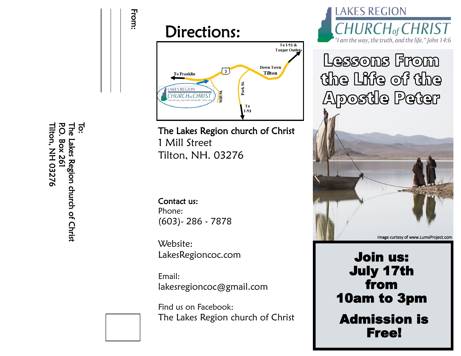





The Lakes Region church of Christ 1 Mill Street

Contact us: Phone: (603)- 286 - 7878

Website: LakesRegioncoc.com

Email: lakesregioncoc@gmail.com

Find us on Facebook: The Lakes Region church of Christ



Lessons From the Life of the **Apostle Peter** 



Join us: July 17th from 10am to 3pm Admission is Free!